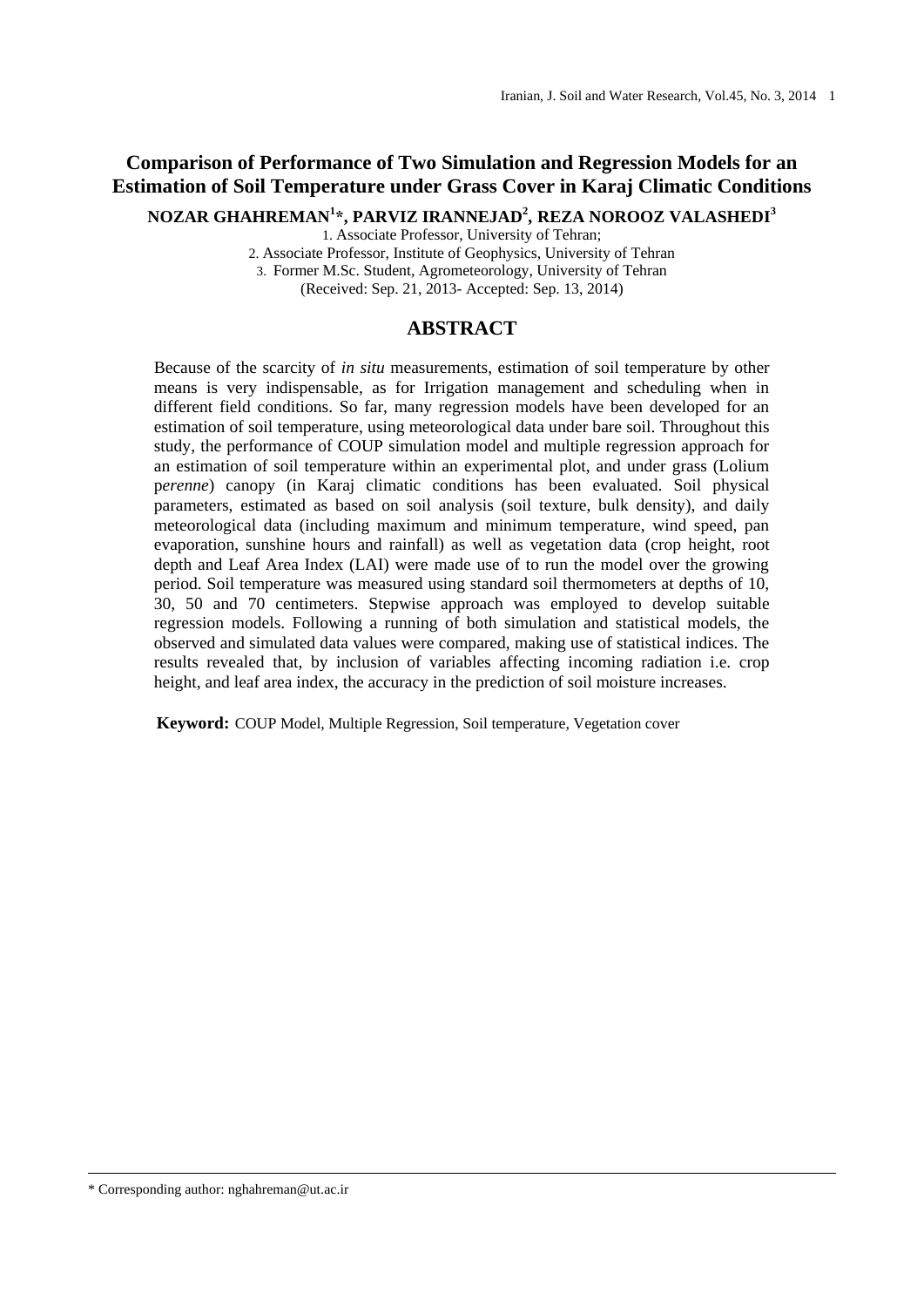# **Comparison of Performance of Two Simulation and Regression Models for an Estimation of Soil Temperature under Grass Cover in Karaj Climatic Conditions**

**NOZAR GHAHREMAN<sup>1</sup> \*, PARVIZ IRANNEJAD<sup>2</sup> , REZA NOROOZ VALASHEDI<sup>3</sup>**

1. Associate Professor, University of Tehran;

2. Associate Professor, Institute of Geophysics, University of Tehran 3. Former M.Sc. Student, Agrometeorology, University of Tehran (Received: Sep. 21, 2013- Accepted: Sep. 13, 2014)

## **ABSTRACT**

Because of the scarcity of *in situ* measurements, estimation of soil temperature by other means is very indispensable, as for Irrigation management and scheduling when in different field conditions. So far, many regression models have been developed for an estimation of soil temperature, using meteorological data under bare soil. Throughout this study, the performance of COUP simulation model and multiple regression approach for an estimation of soil temperature within an experimental plot, and under grass (Lolium p*erenne*) canopy (in Karaj climatic conditions has been evaluated. Soil physical parameters, estimated as based on soil analysis (soil texture, bulk density), and daily meteorological data (including maximum and minimum temperature, wind speed, pan evaporation, sunshine hours and rainfall) as well as vegetation data (crop height, root depth and Leaf Area Index (LAI) were made use of to run the model over the growing period. Soil temperature was measured using standard soil thermometers at depths of 10, 30, 50 and 70 centimeters. Stepwise approach was employed to develop suitable regression models. Following a running of both simulation and statistical models, the observed and simulated data values were compared, making use of statistical indices. The results revealed that, by inclusion of variables affecting incoming radiation i.e. crop height, and leaf area index, the accuracy in the prediction of soil moisture increases.

 **Keyword:** COUP Model, Multiple Regression, Soil temperature, Vegetation cover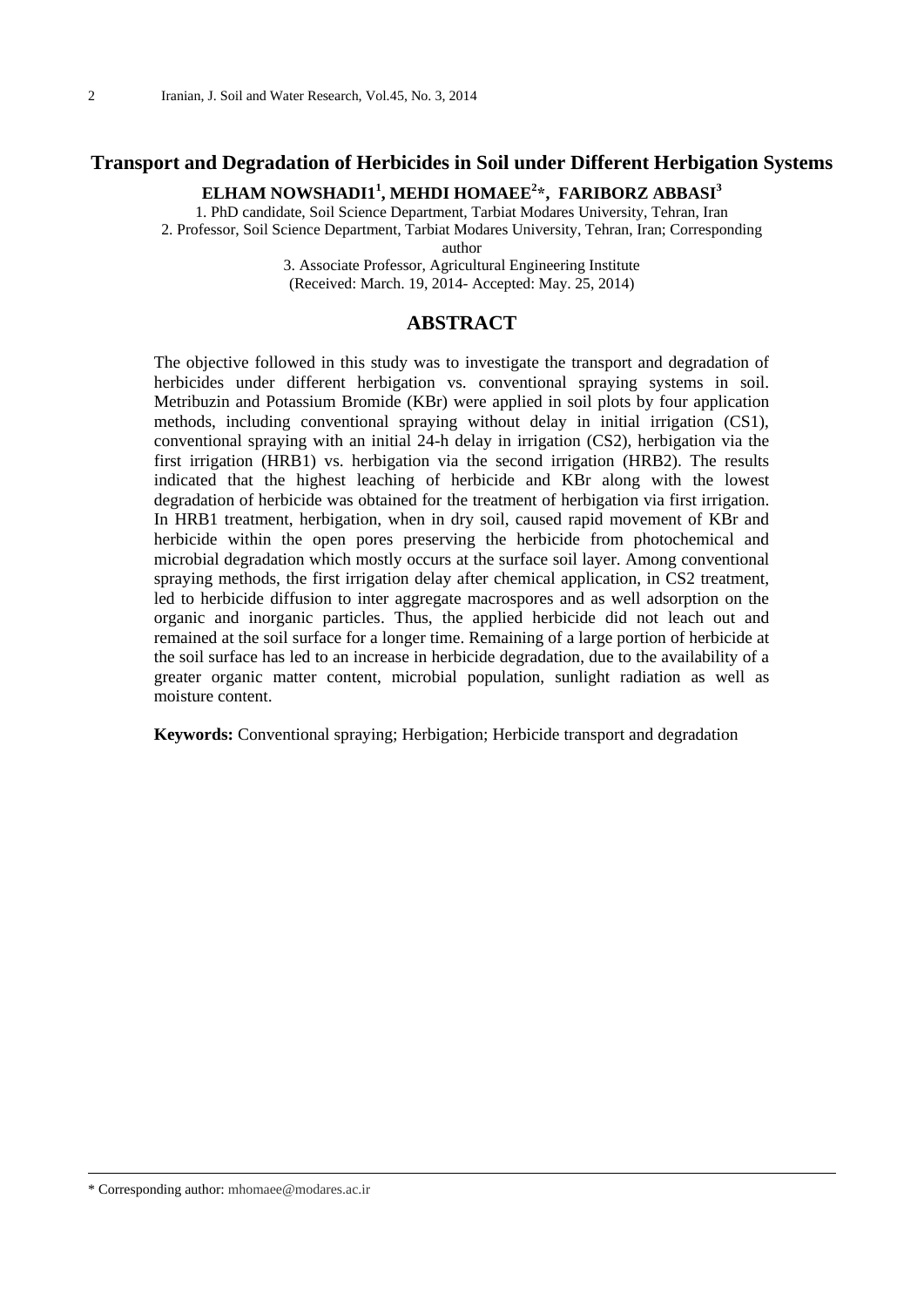## **Transport and Degradation of Herbicides in Soil under Different Herbigation Systems**

## **ELHAM NOWSHADI1<sup>1</sup> , MEHDI HOMAEE<sup>2</sup> \*, FARIBORZ ABBASI<sup>3</sup>**

1. PhD candidate, Soil Science Department, Tarbiat Modares University, Tehran, Iran 2. Professor, Soil Science Department, Tarbiat Modares University, Tehran, Iran; Corresponding

author

3. Associate Professor, Agricultural Engineering Institute (Received: March. 19, 2014- Accepted: May. 25, 2014)

## **ABSTRACT**

The objective followed in this study was to investigate the transport and degradation of herbicides under different herbigation vs. conventional spraying systems in soil. Metribuzin and Potassium Bromide (KBr) were applied in soil plots by four application methods, including conventional spraying without delay in initial irrigation (CS1), conventional spraying with an initial 24-h delay in irrigation (CS2), herbigation via the first irrigation (HRB1) vs. herbigation via the second irrigation (HRB2). The results indicated that the highest leaching of herbicide and KBr along with the lowest degradation of herbicide was obtained for the treatment of herbigation via first irrigation. In HRB1 treatment, herbigation, when in dry soil, caused rapid movement of KBr and herbicide within the open pores preserving the herbicide from photochemical and microbial degradation which mostly occurs at the surface soil layer. Among conventional spraying methods, the first irrigation delay after chemical application, in CS2 treatment, led to herbicide diffusion to inter aggregate macrospores and as well adsorption on the organic and inorganic particles. Thus, the applied herbicide did not leach out and remained at the soil surface for a longer time. Remaining of a large portion of herbicide at the soil surface has led to an increase in herbicide degradation, due to the availability of a greater organic matter content, microbial population, sunlight radiation as well as moisture content.

**Keywords:** Conventional spraying; Herbigation; Herbicide transport and degradation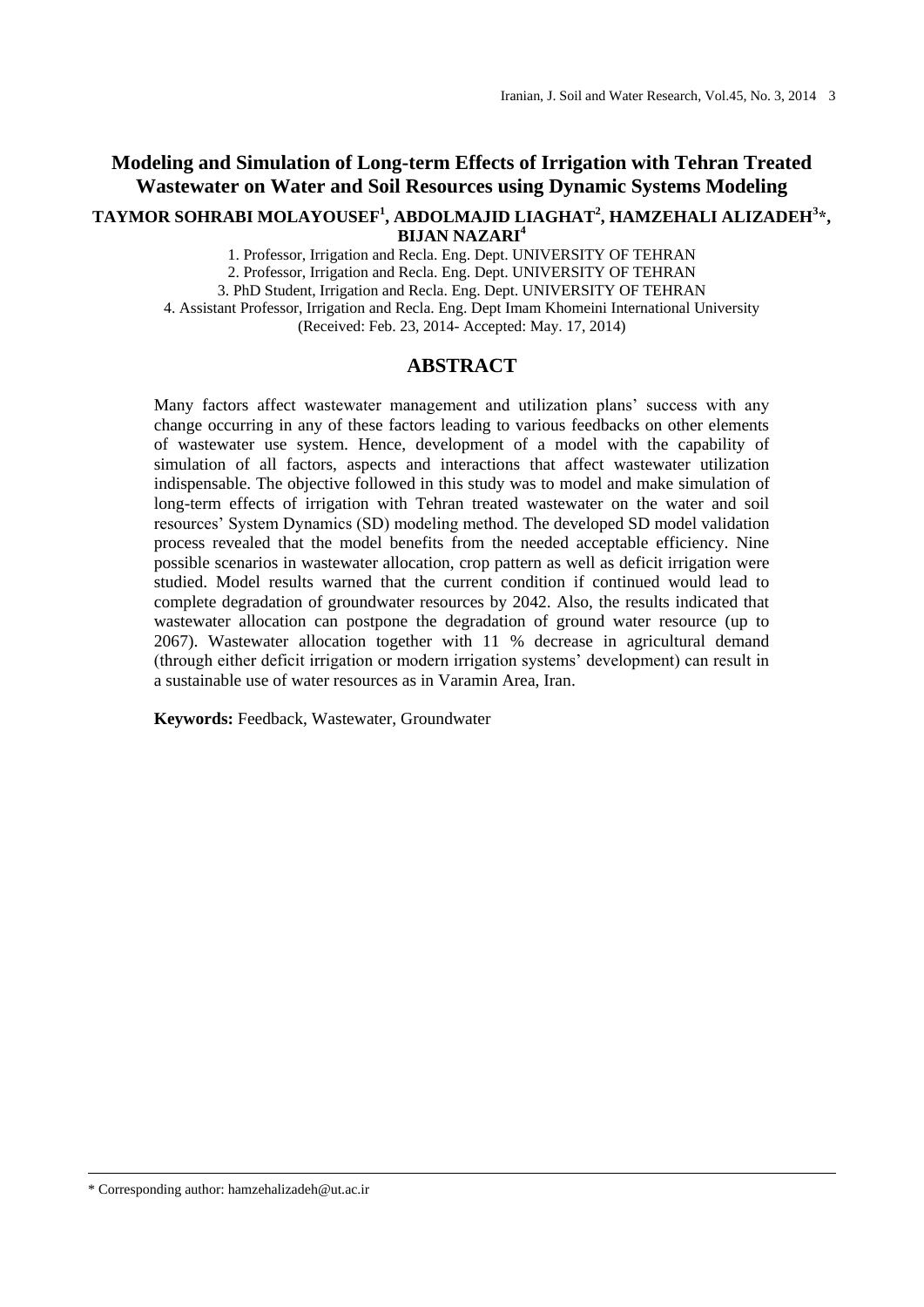## **Modeling and Simulation of Long-term Effects of Irrigation with Tehran Treated Wastewater on Water and Soil Resources using Dynamic Systems Modeling**

#### **TAYMOR SOHRABI MOLAYOUSEF<sup>1</sup> , ABDOLMAJID LIAGHAT<sup>2</sup> , HAMZEHALI ALIZADEH<sup>3</sup> \*, BIJAN NAZARI<sup>4</sup>**

1. Professor, Irrigation and Recla. Eng. Dept. UNIVERSITY OF TEHRAN

2. Professor, Irrigation and Recla. Eng. Dept. UNIVERSITY OF TEHRAN

3. PhD Student, Irrigation and Recla. Eng. Dept. UNIVERSITY OF TEHRAN

4. Assistant Professor, Irrigation and Recla. Eng. Dept Imam Khomeini International University (Received: Feb. 23, 2014- Accepted: May. 17, 2014)

### **ABSTRACT**

Many factors affect wastewater management and utilization plans' success with any change occurring in any of these factors leading to various feedbacks on other elements of wastewater use system. Hence, development of a model with the capability of simulation of all factors, aspects and interactions that affect wastewater utilization indispensable. The objective followed in this study was to model and make simulation of long-term effects of irrigation with Tehran treated wastewater on the water and soil resources' System Dynamics (SD) modeling method. The developed SD model validation process revealed that the model benefits from the needed acceptable efficiency. Nine possible scenarios in wastewater allocation, crop pattern as well as deficit irrigation were studied. Model results warned that the current condition if continued would lead to complete degradation of groundwater resources by 2042. Also, the results indicated that wastewater allocation can postpone the degradation of ground water resource (up to 2067). Wastewater allocation together with 11 % decrease in agricultural demand (through either deficit irrigation or modern irrigation systems' development) can result in a sustainable use of water resources as in Varamin Area, Iran.

**Keywords:** Feedback, Wastewater, Groundwater

\* Corresponding author: hamzehalizadeh@ut.ac.ir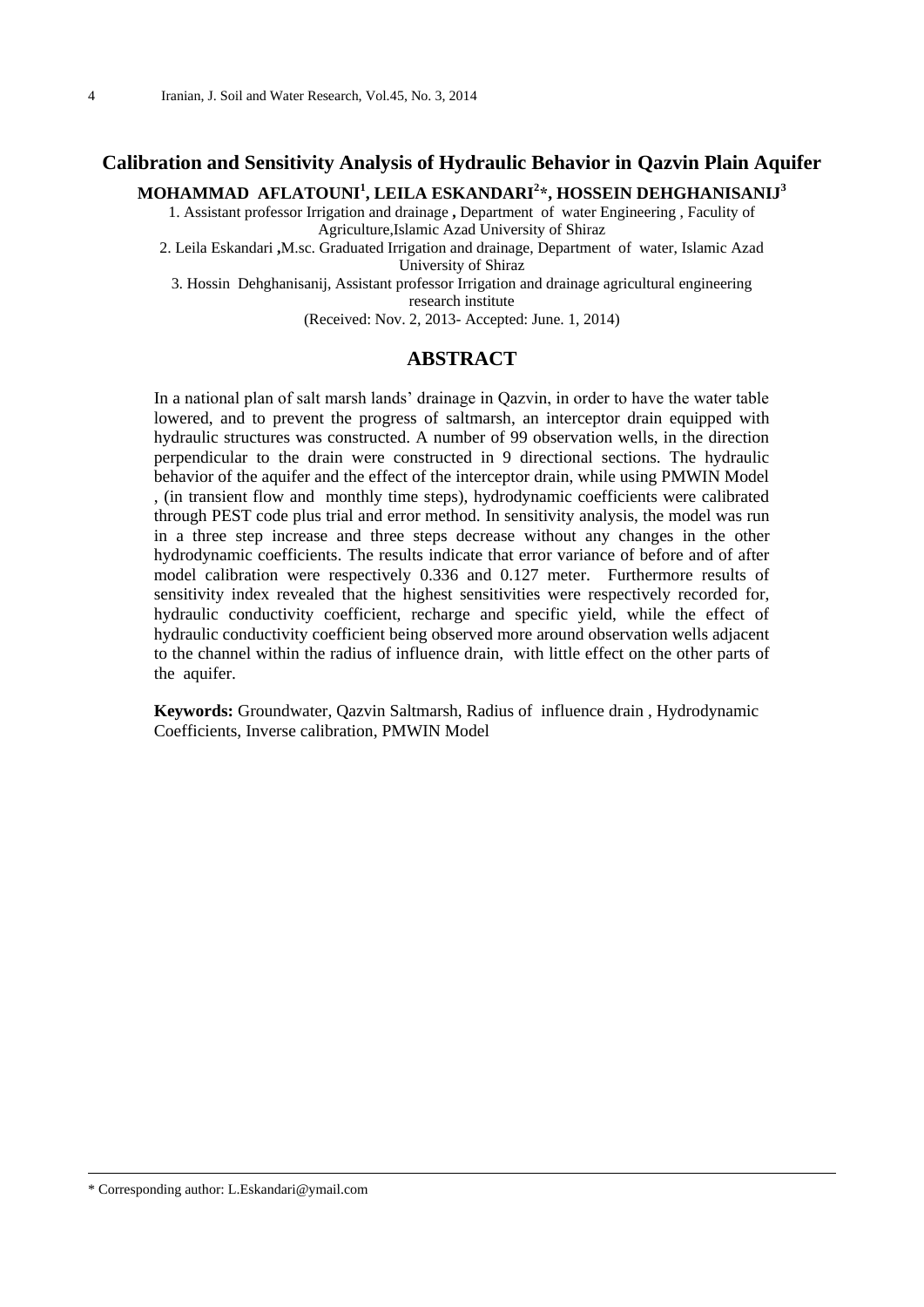# **Calibration and Sensitivity Analysis of Hydraulic Behavior in Qazvin Plain Aquifer**

**MOHAMMAD AFLATOUNI<sup>1</sup> , LEILA ESKANDARI<sup>2</sup> \*, HOSSEIN DEHGHANISANIJ<sup>3</sup>**

1. Assistant professor Irrigation and drainage **,** Department of water Engineering , Faculity of Agriculture,Islamic Azad University of Shiraz

2. Leila Eskandari **,**M.sc. Graduated Irrigation and drainage, Department of water, Islamic Azad University of Shiraz

3. Hossin Dehghanisanij, Assistant professor Irrigation and drainage agricultural engineering research institute

(Received: Nov. 2, 2013- Accepted: June. 1, 2014)

## **ABSTRACT**

In a national plan of salt marsh lands' drainage in Qazvin, in order to have the water table lowered, and to prevent the progress of saltmarsh, an interceptor drain equipped with hydraulic structures was constructed. A number of 99 observation wells, in the direction perpendicular to the drain were constructed in 9 directional sections. The hydraulic behavior of the aquifer and the effect of the interceptor drain, while using PMWIN Model , (in transient flow and monthly time steps), hydrodynamic coefficients were calibrated through PEST code plus trial and error method. In sensitivity analysis, the model was run in a three step increase and three steps decrease without any changes in the other hydrodynamic coefficients. The results indicate that error variance of before and of after model calibration were respectively 0.336 and 0.127 meter. Furthermore results of sensitivity index revealed that the highest sensitivities were respectively recorded for, hydraulic conductivity coefficient, recharge and specific yield, while the effect of hydraulic conductivity coefficient being observed more around observation wells adjacent to the channel within the radius of influence drain, with little effect on the other parts of the aquifer.

**Keywords:** Groundwater, Qazvin Saltmarsh, Radius of influence drain , Hydrodynamic Coefficients, Inverse calibration, PMWIN Model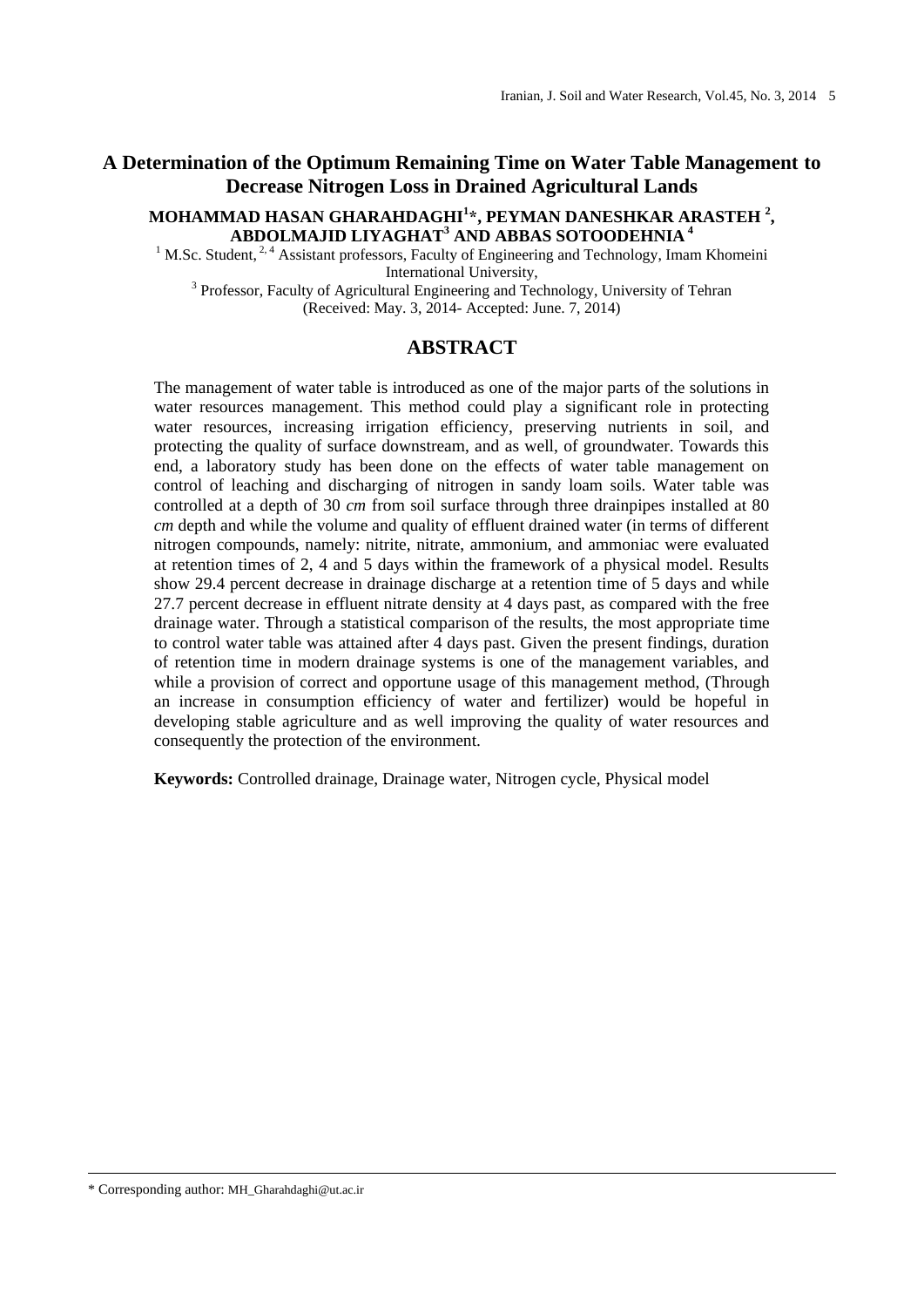# **A Determination of the Optimum Remaining Time on Water Table Management to Decrease Nitrogen Loss in Drained Agricultural Lands**

#### **MOHAMMAD HASAN GHARAHDAGHI<sup>1</sup> \*, PEYMAN DANESHKAR ARASTEH <sup>2</sup> , ABDOLMAJID LIYAGHAT<sup>3</sup> AND ABBAS SOTOODEHNIA <sup>4</sup>**

<sup>1</sup> M.Sc. Student, <sup>2, 4</sup> Assistant professors, Faculty of Engineering and Technology, Imam Khomeini International University,

<sup>3</sup> Professor, Faculty of Agricultural Engineering and Technology, University of Tehran (Received: May. 3, 2014- Accepted: June. 7, 2014)

## **ABSTRACT**

The management of water table is introduced as one of the major parts of the solutions in water resources management. This method could play a significant role in protecting water resources, increasing irrigation efficiency, preserving nutrients in soil, and protecting the quality of surface downstream, and as well, of groundwater. Towards this end, a laboratory study has been done on the effects of water table management on control of leaching and discharging of nitrogen in sandy loam soils. Water table was controlled at a depth of 30 *cm* from soil surface through three drainpipes installed at 80 *cm* depth and while the volume and quality of effluent drained water (in terms of different nitrogen compounds, namely: nitrite, nitrate, ammonium, and ammoniac were evaluated at retention times of 2, 4 and 5 days within the framework of a physical model. Results show 29.4 percent decrease in drainage discharge at a retention time of 5 days and while 27.7 percent decrease in effluent nitrate density at 4 days past, as compared with the free drainage water. Through a statistical comparison of the results, the most appropriate time to control water table was attained after 4 days past. Given the present findings, duration of retention time in modern drainage systems is one of the management variables, and while a provision of correct and opportune usage of this management method, (Through an increase in consumption efficiency of water and fertilizer) would be hopeful in developing stable agriculture and as well improving the quality of water resources and consequently the protection of the environment.

**Keywords:** Controlled drainage, Drainage water, Nitrogen cycle, Physical model

\* Corresponding author: MH\_Gharahdaghi@ut.ac.ir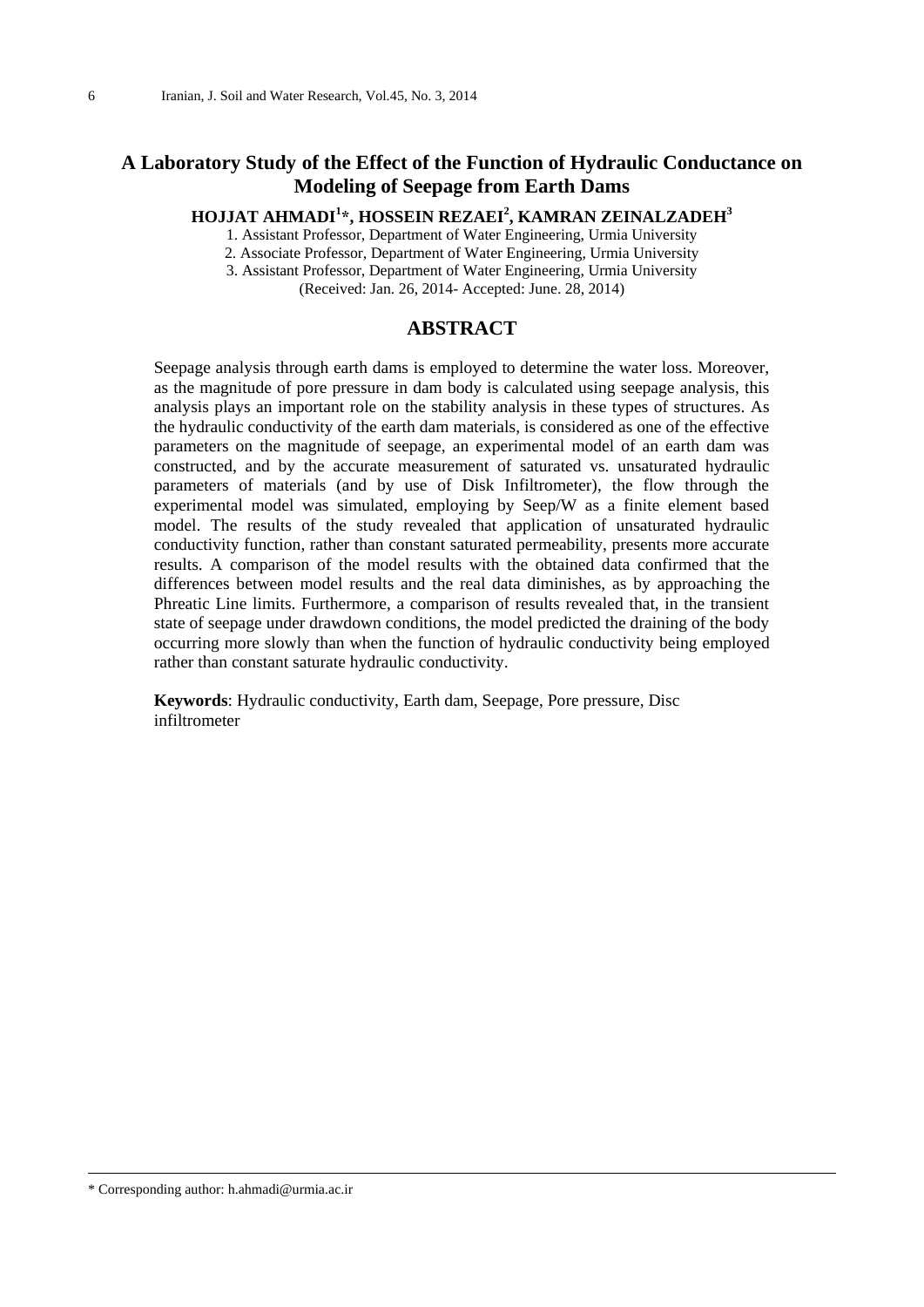# **A Laboratory Study of the Effect of the Function of Hydraulic Conductance on Modeling of Seepage from Earth Dams**

**HOJJAT AHMADI<sup>1</sup> \*, HOSSEIN REZAEI<sup>2</sup> , KAMRAN ZEINALZADEH<sup>3</sup>**

1. Assistant Professor, Department of Water Engineering, Urmia University

2. Associate Professor, Department of Water Engineering, Urmia University

3. Assistant Professor, Department of Water Engineering, Urmia University

(Received: Jan. 26, 2014- Accepted: June. 28, 2014)

#### **ABSTRACT**

Seepage analysis through earth dams is employed to determine the water loss. Moreover, as the magnitude of pore pressure in dam body is calculated using seepage analysis, this analysis plays an important role on the stability analysis in these types of structures. As the hydraulic conductivity of the earth dam materials, is considered as one of the effective parameters on the magnitude of seepage, an experimental model of an earth dam was constructed, and by the accurate measurement of saturated vs. unsaturated hydraulic parameters of materials (and by use of Disk Infiltrometer), the flow through the experimental model was simulated, employing by Seep/W as a finite element based model. The results of the study revealed that application of unsaturated hydraulic conductivity function, rather than constant saturated permeability, presents more accurate results. A comparison of the model results with the obtained data confirmed that the differences between model results and the real data diminishes, as by approaching the Phreatic Line limits. Furthermore, a comparison of results revealed that, in the transient state of seepage under drawdown conditions, the model predicted the draining of the body occurring more slowly than when the function of hydraulic conductivity being employed rather than constant saturate hydraulic conductivity.

**Keywords**: Hydraulic conductivity, Earth dam, Seepage, Pore pressure, Disc infiltrometer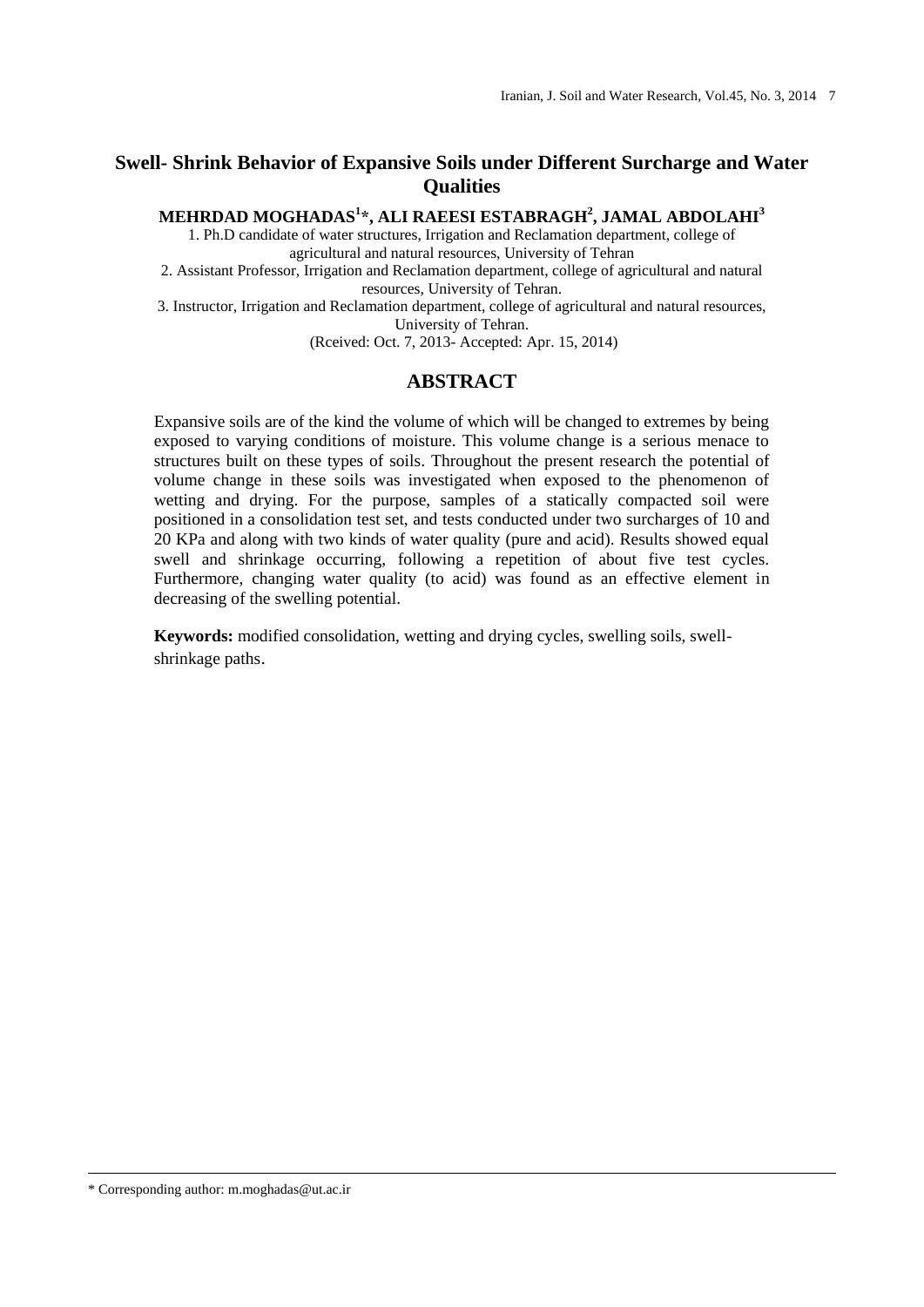# **Swell- Shrink Behavior of Expansive Soils under Different Surcharge and Water Qualities**

**MEHRDAD MOGHADAS<sup>1</sup> \*, ALI RAEESI ESTABRAGH<sup>2</sup> , JAMAL ABDOLAHI<sup>3</sup>**

1. Ph.D candidate of water structures, Irrigation and Reclamation department, college of agricultural and natural resources, University of Tehran

2. Assistant Professor, Irrigation and Reclamation department, college of agricultural and natural resources, University of Tehran.

3. Instructor, Irrigation and Reclamation department, college of agricultural and natural resources, University of Tehran.

(Rceived: Oct. 7, 2013- Accepted: Apr. 15, 2014)

## **ABSTRACT**

Expansive soils are of the kind the volume of which will be changed to extremes by being exposed to varying conditions of moisture. This volume change is a serious menace to structures built on these types of soils. Throughout the present research the potential of volume change in these soils was investigated when exposed to the phenomenon of wetting and drying. For the purpose, samples of a statically compacted soil were positioned in a consolidation test set, and tests conducted under two surcharges of 10 and 20 KPa and along with two kinds of water quality (pure and acid). Results showed equal swell and shrinkage occurring, following a repetition of about five test cycles. Furthermore, changing water quality (to acid) was found as an effective element in decreasing of the swelling potential.

**Keywords:** modified consolidation, wetting and drying cycles, swelling soils, swellshrinkage paths.

\* Corresponding author: m.moghadas@ut.ac.ir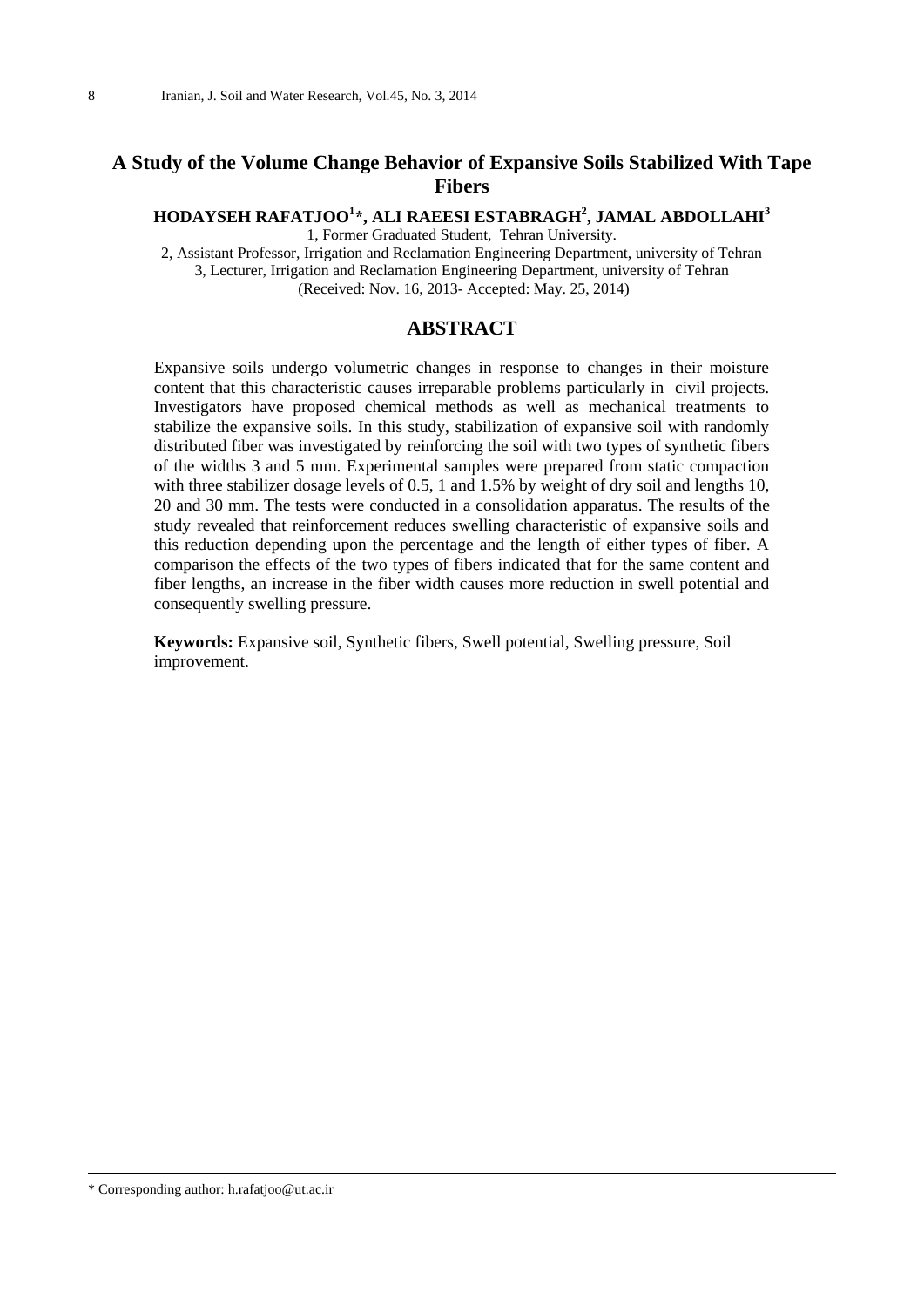## **A Study of the Volume Change Behavior of Expansive Soils Stabilized With Tape Fibers**

**HODAYSEH RAFATJOO<sup>1</sup> \*, ALI RAEESI ESTABRAGH<sup>2</sup> , JAMAL ABDOLLAHI<sup>3</sup>** 1, Former Graduated Student, Tehran University.

2, Assistant Professor, Irrigation and Reclamation Engineering Department, university of Tehran 3, Lecturer, Irrigation and Reclamation Engineering Department, university of Tehran (Received: Nov. 16, 2013- Accepted: May. 25, 2014)

#### **ABSTRACT**

Expansive soils undergo volumetric changes in response to changes in their moisture content that this characteristic causes irreparable problems particularly in civil projects. Investigators have proposed chemical methods as well as mechanical treatments to stabilize the expansive soils. In this study, stabilization of expansive soil with randomly distributed fiber was investigated by reinforcing the soil with two types of synthetic fibers of the widths 3 and 5 mm. Experimental samples were prepared from static compaction with three stabilizer dosage levels of 0.5, 1 and 1.5% by weight of dry soil and lengths 10, 20 and 30 mm. The tests were conducted in a consolidation apparatus. The results of the study revealed that reinforcement reduces swelling characteristic of expansive soils and this reduction depending upon the percentage and the length of either types of fiber. A comparison the effects of the two types of fibers indicated that for the same content and fiber lengths, an increase in the fiber width causes more reduction in swell potential and consequently swelling pressure.

**Keywords:** Expansive soil, Synthetic fibers, Swell potential, Swelling pressure, Soil improvement.

\* Corresponding author: h.rafatjoo@ut.ac.ir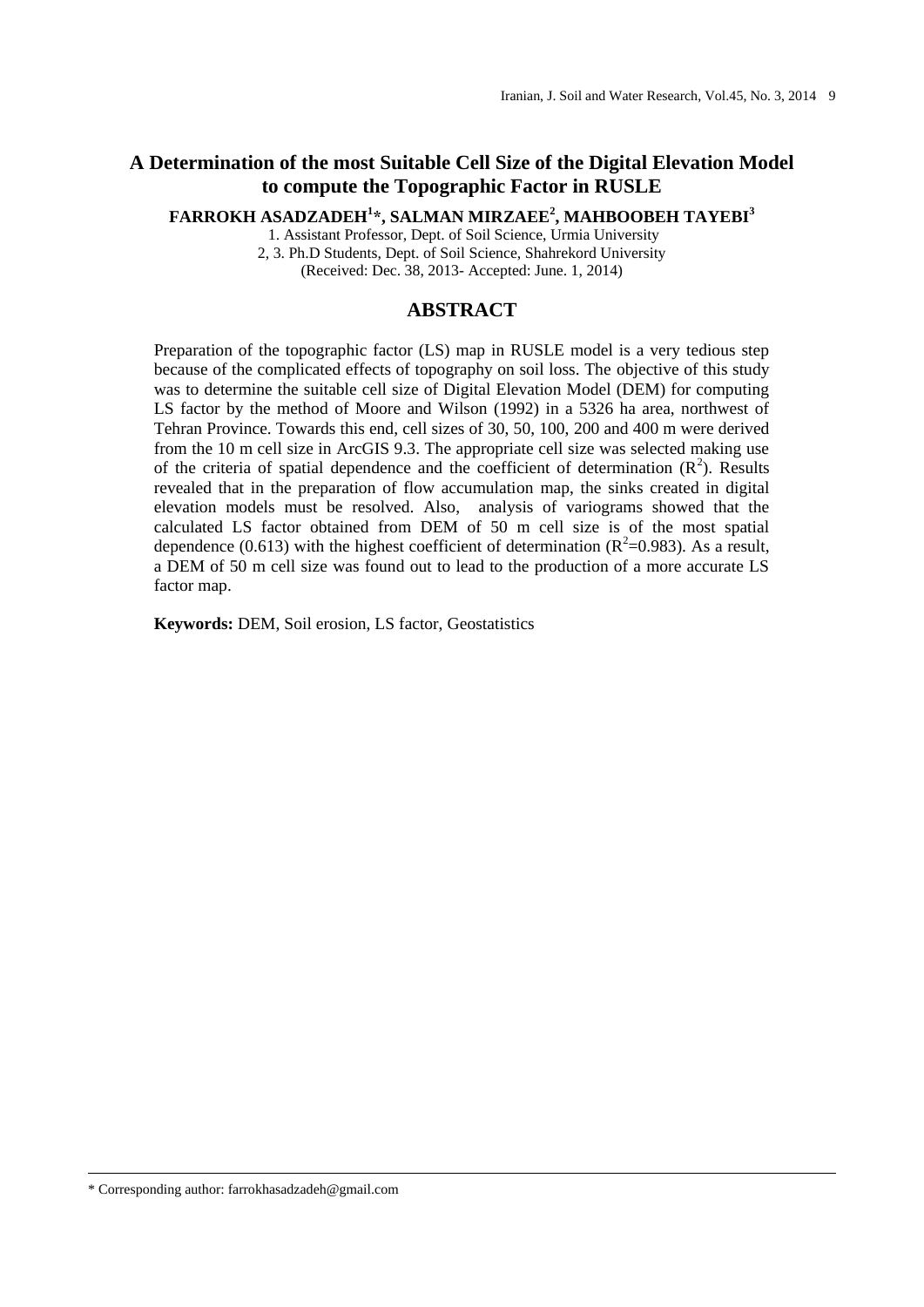# **A Determination of the most Suitable Cell Size of the Digital Elevation Model to compute the Topographic Factor in RUSLE**

**FARROKH ASADZADEH<sup>1</sup> \*, SALMAN MIRZAEE<sup>2</sup> , MAHBOOBEH TAYEBI<sup>3</sup>**

1. Assistant Professor, Dept. of Soil Science, Urmia University

2, 3. Ph.D Students, Dept. of Soil Science, Shahrekord University (Received: Dec. 38, 2013- Accepted: June. 1, 2014)

## **ABSTRACT**

Preparation of the topographic factor (LS) map in RUSLE model is a very tedious step because of the complicated effects of topography on soil loss. The objective of this study was to determine the suitable cell size of Digital Elevation Model (DEM) for computing LS factor by the method of Moore and Wilson (1992) in a 5326 ha area, northwest of Tehran Province. Towards this end, cell sizes of 30, 50, 100, 200 and 400 m were derived from the 10 m cell size in ArcGIS 9.3. The appropriate cell size was selected making use of the criteria of spatial dependence and the coefficient of determination  $(R^2)$ . Results revealed that in the preparation of flow accumulation map, the sinks created in digital elevation models must be resolved. Also, analysis of variograms showed that the calculated LS factor obtained from DEM of 50 m cell size is of the most spatial dependence (0.613) with the highest coefficient of determination ( $R^2$ =0.983). As a result, a DEM of 50 m cell size was found out to lead to the production of a more accurate LS factor map.

**Keywords:** DEM, Soil erosion, LS factor, Geostatistics

<sup>\*</sup> Corresponding author: farrokhasadzadeh@gmail.com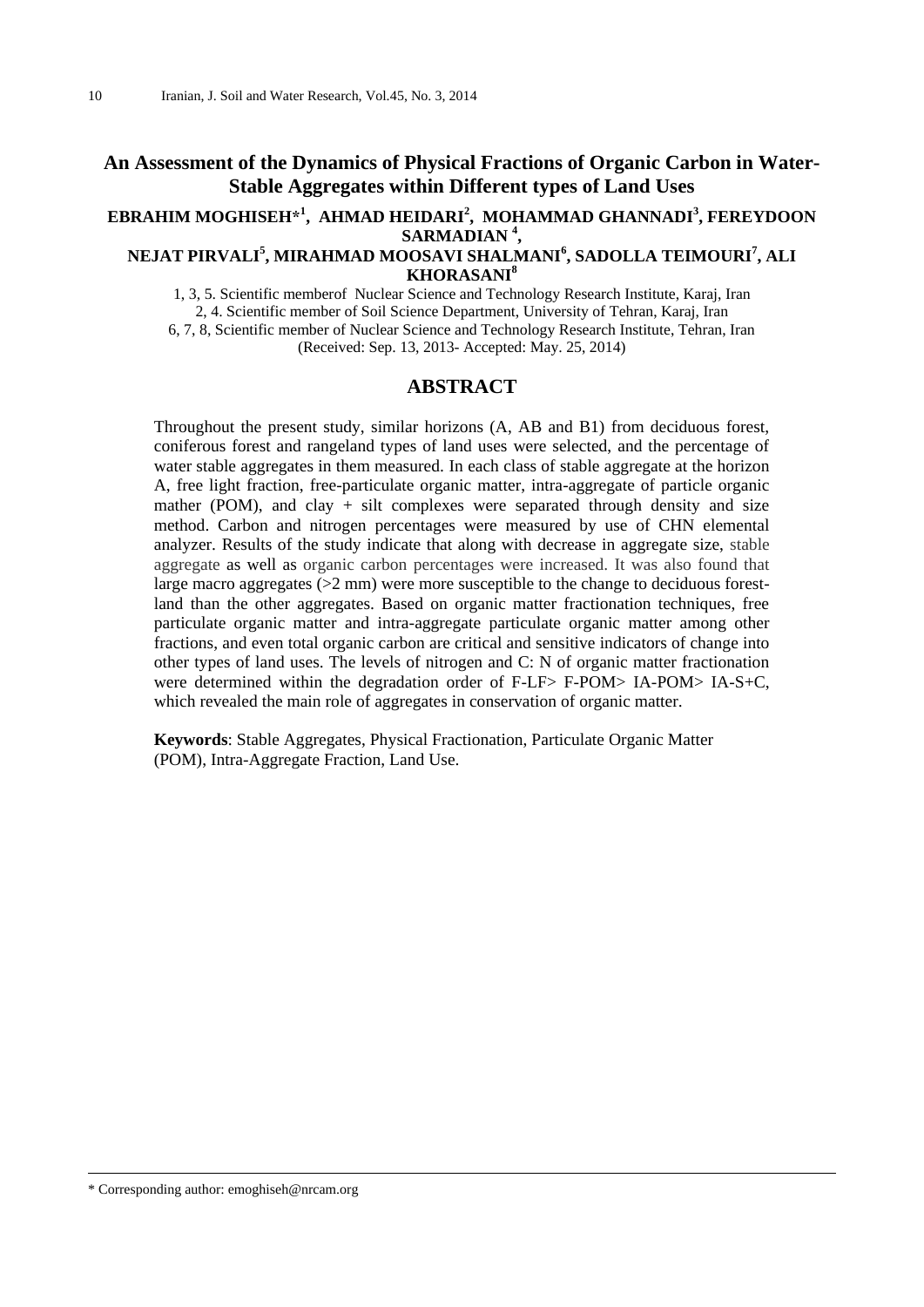## **An Assessment of the Dynamics of Physical Fractions of Organic Carbon in Water-Stable Aggregates within Different types of Land Uses**

## **EBRAHIM MOGHISEH\* 1 , AHMAD HEIDARI<sup>2</sup> , MOHAMMAD GHANNADI<sup>3</sup> , FEREYDOON SARMADIAN <sup>4</sup> ,**

## **NEJAT PIRVALI<sup>5</sup> , MIRAHMAD MOOSAVI SHALMANI<sup>6</sup> , SADOLLA TEIMOURI<sup>7</sup> , ALI KHORASANI<sup>8</sup>**

1, 3, 5. Scientific memberof Nuclear Science and Technology Research Institute, Karaj, Iran 2, 4. Scientific member of Soil Science Department, University of Tehran, Karaj, Iran 6, 7, 8, Scientific member of Nuclear Science and Technology Research Institute, Tehran, Iran (Received: Sep. 13, 2013- Accepted: May. 25, 2014)

#### **ABSTRACT**

Throughout the present study, similar horizons (A, AB and B1) from deciduous forest, coniferous forest and rangeland types of land uses were selected, and the percentage of water stable aggregates in them measured. In each class of stable aggregate at the horizon A, free light fraction, free-particulate organic matter, intra-aggregate of particle organic mather (POM), and clay  $+$  silt complexes were separated through density and size method. Carbon and nitrogen percentages were measured by use of CHN elemental analyzer. Results of the study indicate that along with decrease in aggregate size, stable aggregate as well as organic carbon percentages were increased. It was also found that large macro aggregates  $(>= 2 \text{ mm})$  were more susceptible to the change to deciduous forestland than the other aggregates. Based on organic matter fractionation techniques, free particulate organic matter and intra-aggregate particulate organic matter among other fractions, and even total organic carbon are critical and sensitive indicators of change into other types of land uses. The levels of nitrogen and C: N of organic matter fractionation were determined within the degradation order of F-LF> F-POM> IA-POM> IA-S+C, which revealed the main role of aggregates in conservation of organic matter.

**Keywords**: Stable Aggregates, Physical Fractionation, Particulate Organic Matter (POM), Intra-Aggregate Fraction, Land Use.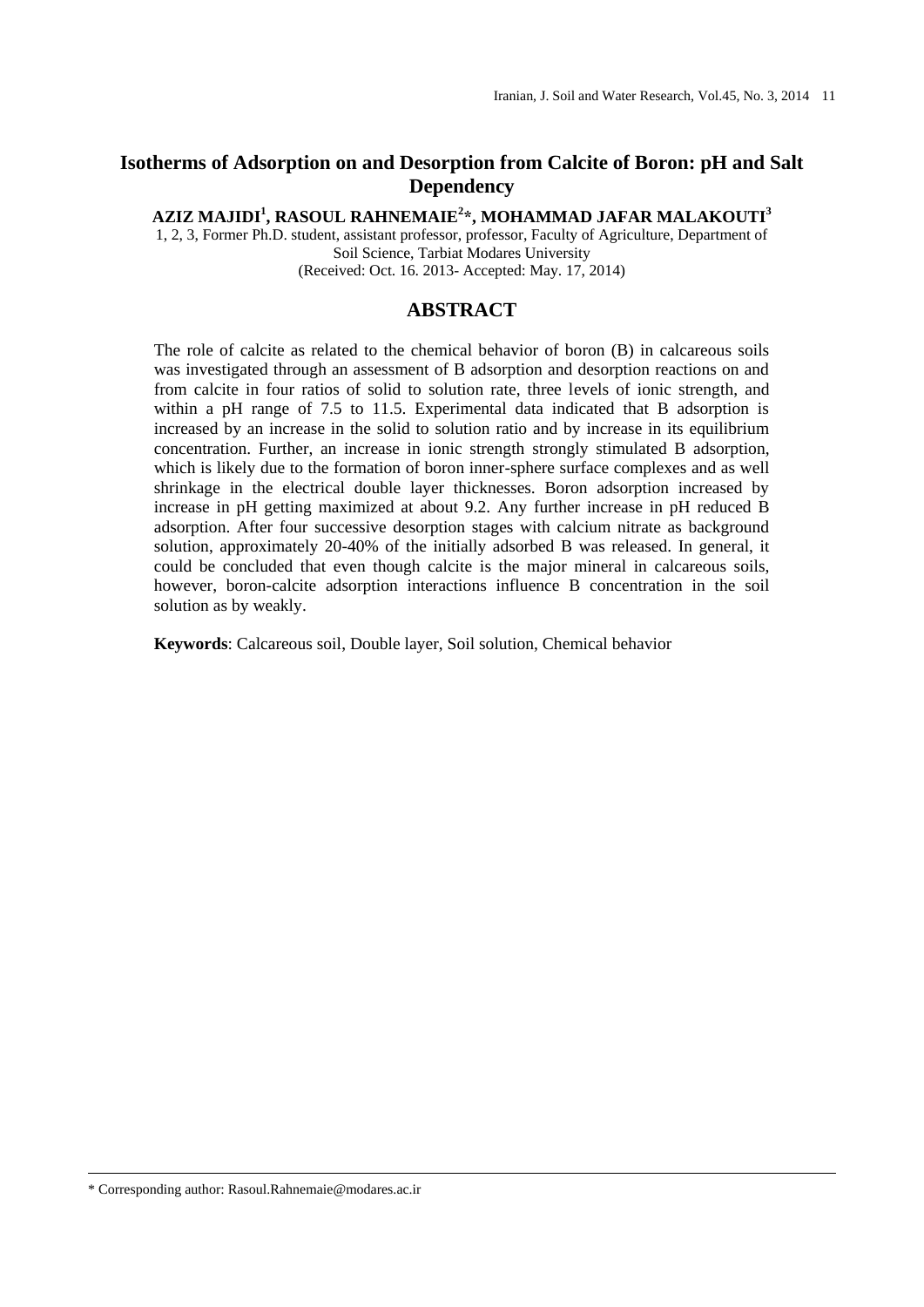# **Isotherms of Adsorption on and Desorption from Calcite of Boron: pH and Salt Dependency**

**AZIZ MAJIDI<sup>1</sup> , RASOUL RAHNEMAIE<sup>2</sup> \*, MOHAMMAD JAFAR MALAKOUTI<sup>3</sup>**

1, 2, 3, Former Ph.D. student, assistant professor, professor, Faculty of Agriculture, Department of Soil Science, Tarbiat Modares University (Received: Oct. 16. 2013- Accepted: May. 17, 2014)

## **ABSTRACT**

The role of calcite as related to the chemical behavior of boron (B) in calcareous soils was investigated through an assessment of B adsorption and desorption reactions on and from calcite in four ratios of solid to solution rate, three levels of ionic strength, and within a pH range of 7.5 to 11.5. Experimental data indicated that B adsorption is increased by an increase in the solid to solution ratio and by increase in its equilibrium concentration. Further, an increase in ionic strength strongly stimulated B adsorption, which is likely due to the formation of boron inner-sphere surface complexes and as well shrinkage in the electrical double layer thicknesses. Boron adsorption increased by increase in pH getting maximized at about 9.2. Any further increase in pH reduced B adsorption. After four successive desorption stages with calcium nitrate as background solution, approximately 20-40% of the initially adsorbed B was released. In general, it could be concluded that even though calcite is the major mineral in calcareous soils, however, boron-calcite adsorption interactions influence B concentration in the soil solution as by weakly.

**Keywords**: Calcareous soil, Double layer, Soil solution, Chemical behavior